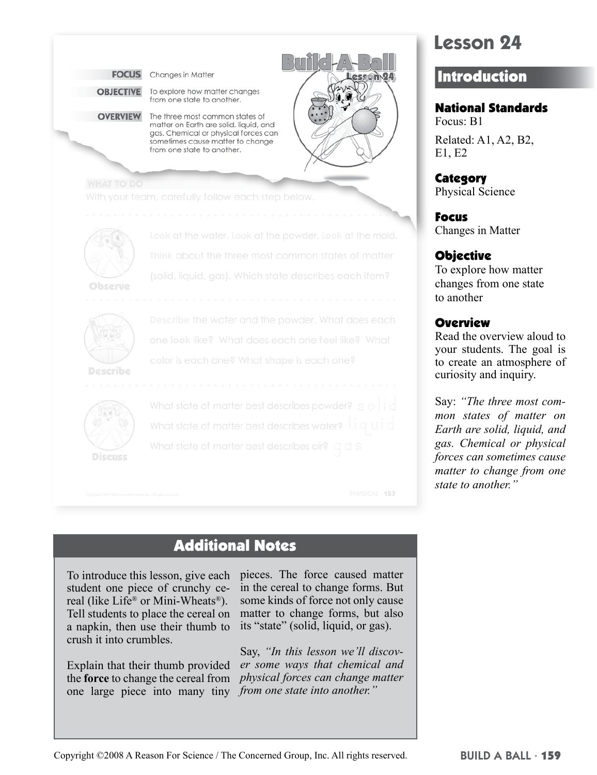



What state of matter best describes air?

Additional Notes

To introduce this lesson, give each student one piece of crunchy cereal (like Life<sup>®</sup> or Mini-Wheats<sup>®</sup>). Tell students to place the cereal on a napkin, then use their thumb to crush it into crumbles.

Explain that their thumb provided the **force** to change the cereal from one large piece into many tiny *from one state into another."*

pieces. The force caused matter in the cereal to change forms. But some kinds of force not only cause matter to change forms, but also its "state" (solid, liquid, or gas).

PHYSICAL - 153

Say, *"In this lesson we'll discover some ways that chemical and physical forces can change matter* 

# **Lesson 24**

## **Introduction**

National Standards

Focus: B1 Related: A1, A2, B2, E1, E2

**Category** Physical Science

Focus Changes in Matter

#### Objective

To explore how matter changes from one state to another

#### **Overview**

Read the overview aloud to your students. The goal is to create an atmosphere of curiosity and inquiry.

Say: *"The three most common states of matter on Earth are solid, liquid, and gas. Chemical or physical forces can sometimes cause matter to change from one state to another."*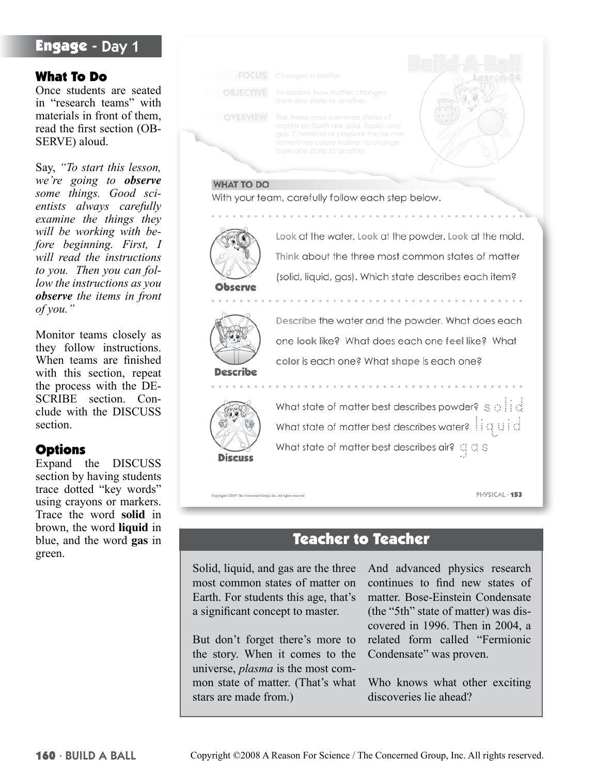## Engage - Day 1

#### What To Do

Once students are seated in "research teams" with materials in front of them, read the first section (OB-SERVE) aloud.

Say, *"To start this lesson, we're going to observe some things. Good scientists always carefully examine the things they will be working with before beginning. First, I will read the instructions to you. Then you can follow the instructions as you observe the items in front of you."*

Monitor teams closely as they follow instructions. When teams are finished with this section, repeat the process with the DE-SCRIBE section. Conclude with the DISCUSS section.

#### **Options**

Expand the DISCUSS section by having students trace dotted "key words" using crayons or markers. Trace the word **solid** in brown, the word **liquid** in blue, and the word **gas** in green.



## Teacher to Teacher

Solid, liquid, and gas are the three most common states of matter on Earth. For students this age, that's a significant concept to master.

But don't forget there's more to the story. When it comes to the universe, *plasma* is the most common state of matter. (That's what stars are made from.)

And advanced physics research continues to find new states of matter. Bose-Einstein Condensate (the "5th" state of matter) was discovered in 1996. Then in 2004, a related form called "Fermionic Condensate" was proven.

Who knows what other exciting discoveries lie ahead?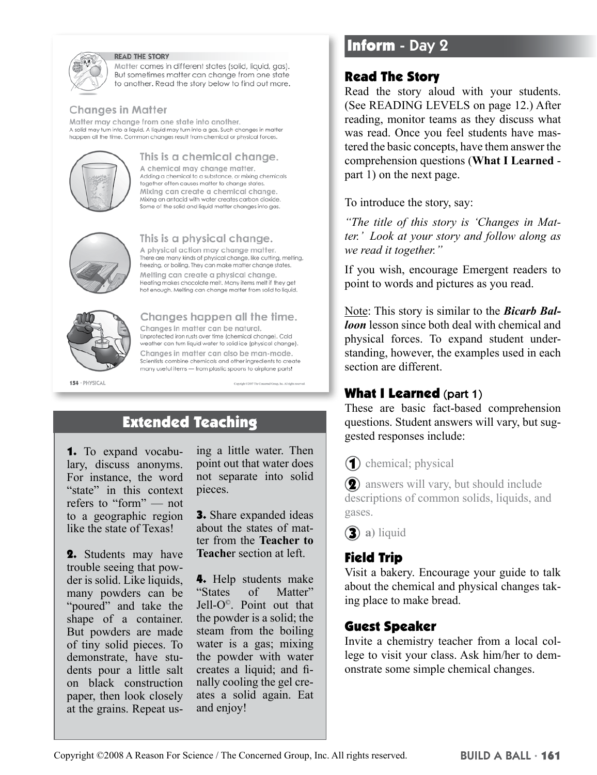

#### **READ THE STORY**

Matter comes in different states (solid, liquid, gas). But sometimes matter can change from one state to another. Read the story below to find out more.

#### **Changes in Matter**

Matter may change from one state into another. A solid may turn into a liquid. A liquid may turn into a gas. Such changes in matter happen all the time. Common changes result from chemical or physical forces.



#### This is a chemical change.

A chemical may change matter. Adding a chemical to a substance, or mixing chemicals together often causes matter to change states. Mixing can create a chemical change. Mixing an antacid with water creates carbon dioxide. Some of the solid and liquid matter changes into gas.



#### This is a physical change.

A physical action may change matter. There are many kinds of physical change, like cutting, melting, freezing, or boiling. They can make matter change states. Melting can create a physical change. Heating makes chocolate melt. Many items melt if they get hot enough. Melting can change matter from solid to liquid.



# Changes happen all the time.

Changes in matter can be natural. Unprotected iron rusts over time (chemical change). Cold weather can turn liquid water to solid ice (physical change). Changes in matter can also be man-made. Scientists combine chemicals and other ingredients to create many useful items - from plastic spoons to airplane parts!

154 · PHYSICAL

## Extended Teaching

1. To expand vocabulary, discuss anonyms. For instance, the word "state" in this context refers to "form" — not to a geographic region like the state of Texas!

2. Students may have trouble seeing that powder is solid. Like liquids, many powders can be "poured" and take the shape of a container. But powders are made of tiny solid pieces. To demonstrate, have students pour a little salt on black construction paper, then look closely at the grains. Repeat us-

ing a little water. Then point out that water does not separate into solid pieces.

Copyright C2007 The Copyr

sed Group, Inc. All rights

3. Share expanded ideas about the states of matter from the **Teacher to Teache**r section at left.

4. Help students make "States of Matter" Jell-O©. Point out that the powder is a solid; the steam from the boiling water is a gas; mixing the powder with water creates a liquid; and finally cooling the gel creates a solid again. Eat and enjoy!

## Inform - Day 2

### Read The Story

Read the story aloud with your students. (See READING LEVELS on page 12.) After reading, monitor teams as they discuss what was read. Once you feel students have mastered the basic concepts, have them answer the comprehension questions (**What I Learned** part 1) on the next page.

To introduce the story, say:

*"The title of this story is 'Changes in Matter.' Look at your story and follow along as we read it together."* 

If you wish, encourage Emergent readers to point to words and pictures as you read.

Note: This story is similar to the *Bicarb Balloon* lesson since both deal with chemical and physical forces. To expand student understanding, however, the examples used in each section are different.

### What I Learned (part 1)

These are basic fact-based comprehension questions. Student answers will vary, but suggested responses include:

(1) chemical; physical

**(2)** answers will vary, but should include descriptions of common solids, liquids, and gases.

 **a)** liquid

## Field Trip

Visit a bakery. Encourage your guide to talk about the chemical and physical changes taking place to make bread.

### Guest Speaker

Invite a chemistry teacher from a local college to visit your class. Ask him/her to demonstrate some simple chemical changes.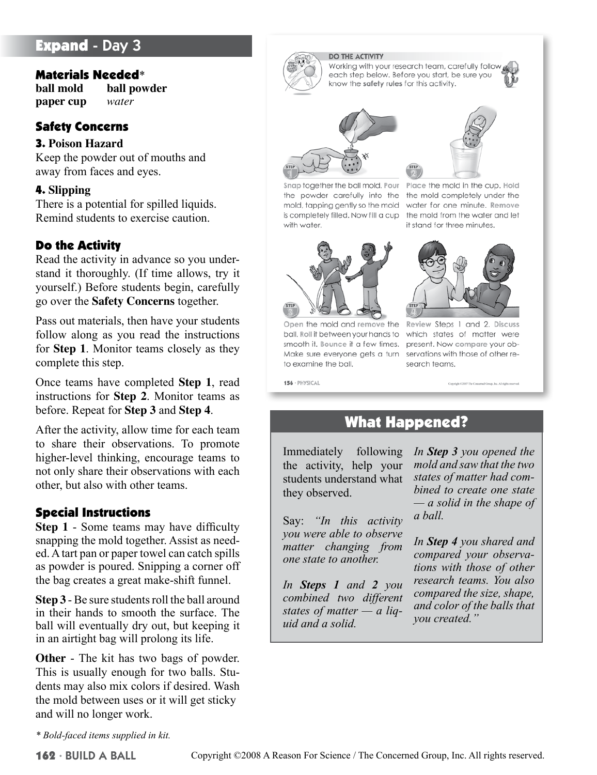## **Expand - Day 3**

#### Materials Needed\*

**ball mold ball powder paper cup** *water*

### Safety Concerns

#### 3. **Poison Hazard**

Keep the powder out of mouths and away from faces and eyes.

#### 4. **Slipping**

There is a potential for spilled liquids. Remind students to exercise caution.

#### Do the Activity

Read the activity in advance so you understand it thoroughly. (If time allows, try it yourself.) Before students begin, carefully go over the **Safety Concerns** together.

Pass out materials, then have your students follow along as you read the instructions for **Step 1**. Monitor teams closely as they complete this step.

Once teams have completed **Step 1**, read instructions for **Step 2**. Monitor teams as before. Repeat for **Step 3** and **Step 4**.

After the activity, allow time for each team to share their observations. To promote higher-level thinking, encourage teams to not only share their observations with each other, but also with other teams.

#### Special Instructions

**Step 1** - Some teams may have difficulty snapping the mold together. Assist as needed. A tart pan or paper towel can catch spills as powder is poured. Snipping a corner off the bag creates a great make-shift funnel.

**Step 3** - Be sure students roll the ball around in their hands to smooth the surface. The ball will eventually dry out, but keeping it in an airtight bag will prolong its life.

**Other** - The kit has two bags of powder. This is usually enough for two balls. Students may also mix colors if desired. Wash the mold between uses or it will get sticky and will no longer work.

*\* Bold-faced items supplied in kit.*

#### **DO THE ACTIVITY**

Working with your research team, carefully follow, each step below. Before you start, be sure you know the safety rules for this activity.







Open the mold and remove the Review Steps 1 and 2. Discuss ball. Roll it between your hands to which states of matter were smooth it. Bounce it a few times. present. Now compare your ob-Make sure everyone gets a turn servations with those of other reto examine the ball.

156 · PHYSICAL



Place the mold in the cup. Hold the powder carefully into the the mold completely under the mold, tapping gently so the mold water for one minute. Remove is completely filled. Now fill a cup the mold from the water and let it stand for three minutes.



search teams.

## What Happened?

Immediately following the activity, help your students understand what they observed.

Say: *"In this activity you were able to observe matter changing from one state to another.* 

*In Steps 1 and 2 you combined two different states of matter — a liquid and a solid.* 

*In Step 3 you opened the mold and saw that the two states of matter had combined to create one state — a solid in the shape of a ball.* 

*In Step 4 you shared and compared your observations with those of other research teams. You also compared the size, shape, and color of the balls that you created."*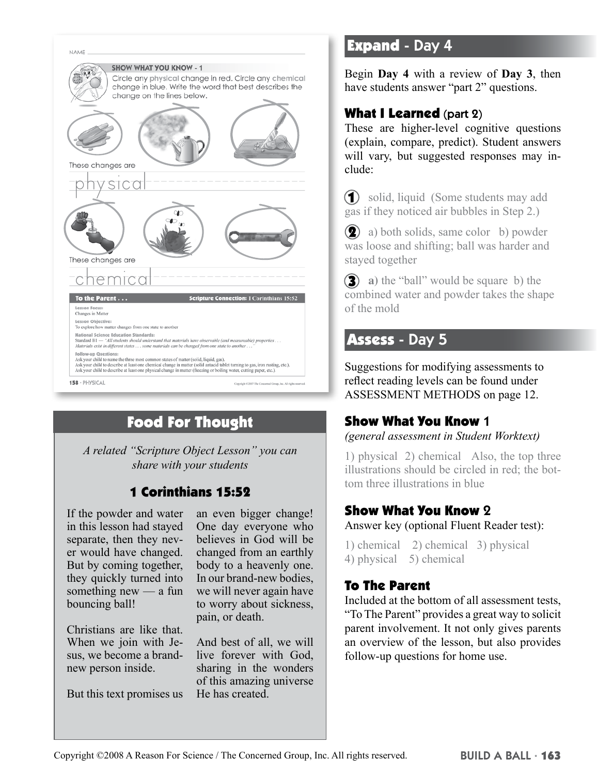

# Food For Thought

*A related "Scripture Object Lesson" you can share with your students*

## 1 Corinthians 15:52

If the powder and water in this lesson had stayed separate, then they never would have changed. But by coming together, they quickly turned into something new — a fun bouncing ball!

Christians are like that. When we join with Jesus, we become a brandnew person inside.

But this text promises us

an even bigger change! One day everyone who believes in God will be changed from an earthly body to a heavenly one. In our brand-new bodies, we will never again have to worry about sickness, pain, or death.

And best of all, we will live forever with God, sharing in the wonders of this amazing universe He has created.

## Expand - Day 4

Begin **Day 4** with a review of **Day 3**, then have students answer "part 2" questions.

## What I Learned (part 2)

These are higher-level cognitive questions (explain, compare, predict). Student answers will vary, but suggested responses may include:

 solid, liquid (Some students may add gas if they noticed air bubbles in Step 2.)

**(2)** a) both solids, same color b) powder was loose and shifting; ball was harder and stayed together

**3** a) the "ball" would be square b) the combined water and powder takes the shape of the mold

## Assess - Day 5

Suggestions for modifying assessments to reflect reading levels can be found under ASSESSMENT METHODS on page 12.

### Show What You Know 1

*(general assessment in Student Worktext)*

1) physical 2) chemical Also, the top three illustrations should be circled in red; the bottom three illustrations in blue

## Show What You Know 2

Answer key (optional Fluent Reader test):

1) chemical 2) chemical 3) physical 4) physical 5) chemical

### To The Parent

Included at the bottom of all assessment tests, "To The Parent" provides a great way to solicit parent involvement. It not only gives parents an overview of the lesson, but also provides follow-up questions for home use.